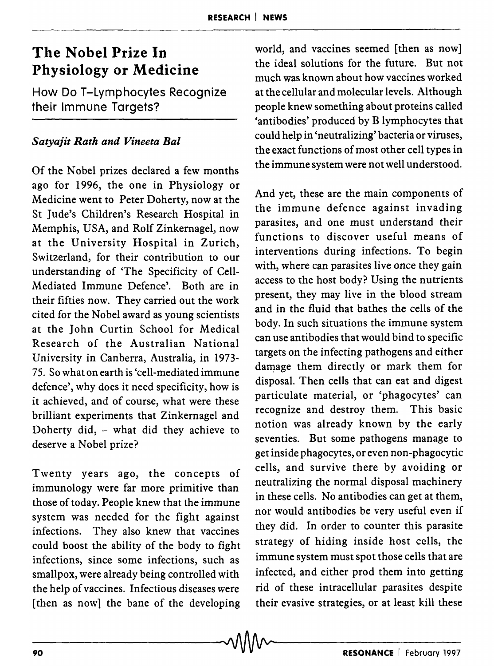## The Nobel Prize **In**  Physiology or Medicine

How Do T-Lymphocytes Recognize their Immune Targets?

## *Satyajit Rath and Vineeta Bal*

Of the Nobel prizes declared a few months ago for 1996, the one in Physiology or Medicine went to Peter Doherty, now at the St Jude's Children's Research Hospital in Memphis, USA, and Rolf Zinkernagel, now at the University Hospital in Zurich, Switzerland, for their contribution to our understanding of 'The Specificity of Cell-Mediated Immune Defence'. Both are in their fifties now. They carried out the work cited for the Nobel award as young scientists at the John Curtin School for Medical Research of the Australian National University in Canberra, Australia, in 1973- 75. So what on earth is 'cell-mediated immune defence', why does it need specificity, how is it achieved, and of course, what were these brilliant experiments that Zinkernagel and Doherty did, - what did they achieve to deserve a Nobel prize?

Twenty years ago, the concepts of immunology were far more primitive than those of today. People knew that the immune system was needed for the fight against infections. They also knew that vaccines could boost the ability of the body to fight infections, since some infections, such as smallpox, were already being controlled with the help of vaccines. Infectious diseases were [then as now] the bane of the developing

world, and vaccines seemed [then as now] the ideal solutions for the future. But not much was known about how vaccines worked at the cellular and molecular levels. Although people knew something about proteins called 'antibodies' produced by B lymphocytes that could help in 'neutralizing' bacteria or viruses, the exact functions of most other cell types in the immune system were not well understood.

And yet, these are the main components of the immune defence against invading parasites, and one must understand their functions to discover useful means of interventions during infections. To begin with, where can parasites live once they gain access to the host body? Using the nutrients present, they may live in the blood stream and in the fluid that bathes the cells of the body. In such situations the immune system can use antibodies that would bind to specific targets on the infecting pathogens and either damage them directly or mark them for disposal. Then cells that can eat and digest particulate material, or 'phagocytes' can recognize and destroy them. This basic notion was already known by the early seventies. But some pathogens manage to get inside phagocytes, or even non-phagocytic cells, and survive there by avoiding or neutralizing the normal disposal machinery in these cells. No antibodies can get at them, nor would antibodies be very useful even if they did. In order to counter this parasite strategy of hiding inside host cells, the immune system must spot those cells that are infected, and either prod them into getting rid of these intracellular parasites despite their evasive strategies, or at least kill these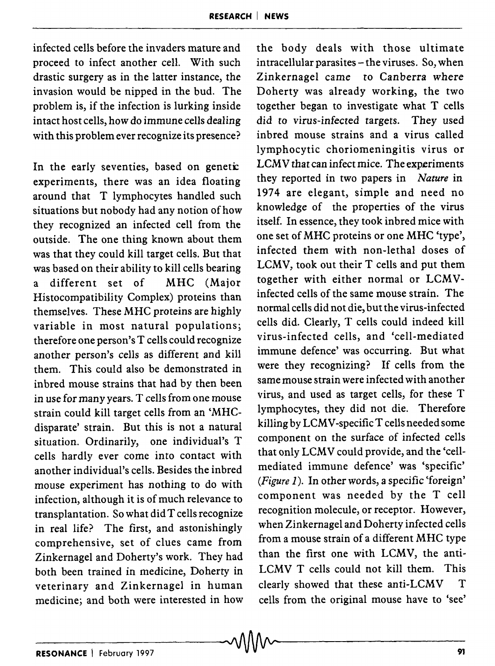infected cells before the invaders mature and proceed to infect another cell. With such drastic surgery as in the latter instance, the invasion would be nipped in the bud. The problem is, if the infection is lurking inside intact host cells, how do immune cells dealing with this problem ever recognize its presence?

In the early seventies, based on genetic experiments, there was an idea floating around that T lymphocytes handled such situations but nobody had any notion of how they recognized an infected cell from the outside. The one thing known about them was that they could kill target cells. But that was based on their ability to kill cells bearing a different set of MHC (Major Histocompatibility Complex) proteins than themselves. These MHC proteins are highly variable in most natural populations; therefore one person's T cells could recognize another person's cells as different and kill them. This could also be demonstrated in inbred mouse strains that had by then been in use for many years. T cells from one mouse strain could kill target cells from an 'MHCdisparate' strain. But this is not a natural situation. Ordinarily, one individual's T cells hardly ever come into contact with another individual's cells. Besides the inbred mouse experiment has nothing to do with infection, although it is of much relevance to transplantation. So what did T cells recognize in real life? The first, and astonishingly comprehensive, set of clues came from Zinkernagel and Doherty's work. They had both been trained in medicine, Doherty in veterinary and Zinkernagel in human medicine; and both were interested in how

the body deals with those ultimate intracellular parasites - the viruses. So, when Zinkernagel came to Canberra where Doherty was already working, the two together began to investigate what T cells did to virus-infected targets. They used inbred mouse strains and a virus called lymphocytic choriomeningitis virus or LCMV that can infect mice. The experiments they reported in two papers in *Nature* in 1974 are elegant, simple and need no knowledge of the properties of the virus itself. In essence, they took inbred mice with one set of MHC proteins or one MHC 'type', infected them with non-lethal doses of LCMV, took out their T cells and put them together with either normal or LCMVinfected cells of the same mouse strain. The normal cells did not die, but the virus-infected cells did. Clearly, T cells could indeed kill virus-infected cells, and 'cell-mediated immune defence' was occurring. But what were they recognizing? If cells from the same mouse strain were infected with another virus, and used as target cells, for these T lymphocytes, they did not die. Therefore killing by LCMV -specific T cells needed some component on the surface of infected cells that only LCMV could provide, and the 'cellmediated immune defence' was 'specific' *(Figure 1).* In other words, a specific 'foreign' component was needed by the T cell recognition molecule, or receptor. However, when Zinkernagel and Doherty infected cells from a mouse strain of a different MHC type than the first one with LCMV, the anti-LCMV T cells could not kill them. This clearly showed that these anti-LCMV T cells from the original mouse have to 'see'  $\sim$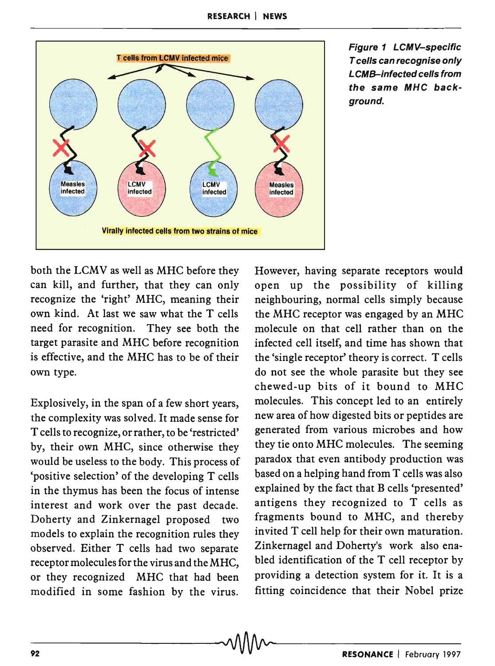

Figure 1 LCMV-specific T cells can recognise only LCMB-infected cells from the same MHC background.

both the LCMV as well as MHC before they can kill, and further, that they can only recognize the 'right' MHC, meaning their own kind. At last we saw what the T cells need for recognition. They see both the target parasite and MHC before recognition is effective, and the MHC has to be of their own type.

Explosively, in the span of a few short years, the complexity was solved. It made sense for T cells to recognize, or rather, to be 'restricted' by, their own MHC, since otherwise they would be useless to the body. This process of 'positive selection' of the developing T cells in the thymus has been the focus of intense interest and work over the past decade. Doherty and Zinkernagel proposed two models to explain the recognition rules they observed. Either T cells had two separate receptor molecules for the virus and the MHC, or they recognized MHC that had been modified in some fashion by the virus.

However, having separate receptors would open up the possibility of killing neighbouring, normal cells simply because the MHC receptor was engaged by an MHC molecule on that cell rather than on the infected cell itself, and time has shown that the 'single receptor' theory is correct. T cells do not see the whole parasite but they see chewed-up bits of it bound to MHC molecules. This concept led to an entirely new area of how digested bits or peptides are generated from various microbes and how they tie onto MHC molecules. The seeming paradox that even antibody production was based on a helping hand from T cells was also explained by the fact that B cells 'presented' antigens they recognized to T cells as fragments bound to MHC, and thereby invited T cell help for their own maturation. Zinkernagel and Doherty'S work also enabled identification of the T cell receptor by providing a detection system for it. It is a fitting coincidence that their Nobel prize